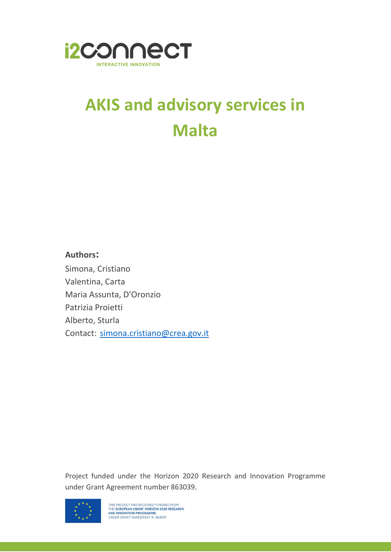

## AKIS and advisory services in Malta

## Authors:

Simona, Cristiano Valentina, Carta Maria Assunta, D'Oronzio Patrizia Proietti Alberto, Sturla Contact: simona.cristiano@crea.gov.it

Project funded under the Horizon 2020 Research and Innovation Programme under Grant Agreement number 863039.

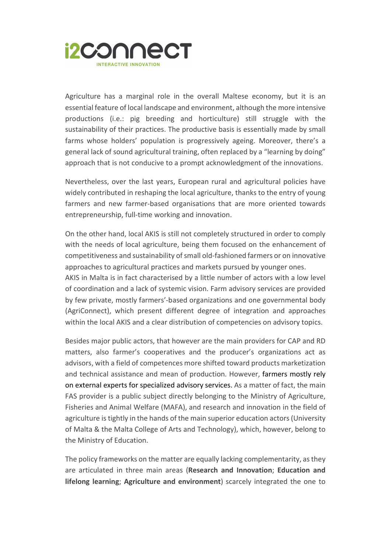

Agriculture has a marginal role in the overall Maltese economy, but it is an essential feature of local landscape and environment, although the more intensive productions (i.e.: pig breeding and horticulture) still struggle with the sustainability of their practices. The productive basis is essentially made by small farms whose holders' population is progressively ageing. Moreover, there's a general lack of sound agricultural training, often replaced by a "learning by doing" approach that is not conducive to a prompt acknowledgment of the innovations.

Nevertheless, over the last years, European rural and agricultural policies have widely contributed in reshaping the local agriculture, thanks to the entry of young farmers and new farmer-based organisations that are more oriented towards entrepreneurship, full-time working and innovation.

On the other hand, local AKIS is still not completely structured in order to comply with the needs of local agriculture, being them focused on the enhancement of competitiveness and sustainability of small old-fashioned farmers or on innovative approaches to agricultural practices and markets pursued by younger ones. AKIS in Malta is in fact characterised by a little number of actors with a low level

of coordination and a lack of systemic vision. Farm advisory services are provided by few private, mostly farmers'-based organizations and one governmental body (AgriConnect), which present different degree of integration and approaches within the local AKIS and a clear distribution of competencies on advisory topics.

Besides major public actors, that however are the main providers for CAP and RD matters, also farmer's cooperatives and the producer's organizations act as advisors, with a field of competences more shifted toward products marketization and technical assistance and mean of production. However, farmers mostly rely on external experts for specialized advisory services. As a matter of fact, the main FAS provider is a public subject directly belonging to the Ministry of Agriculture, Fisheries and Animal Welfare (MAFA), and research and innovation in the field of agriculture is tightly in the hands of the main superior education actors (University of Malta & the Malta College of Arts and Technology), which, however, belong to the Ministry of Education.

The policy frameworks on the matter are equally lacking complementarity, as they are articulated in three main areas (Research and Innovation; Education and lifelong learning; Agriculture and environment) scarcely integrated the one to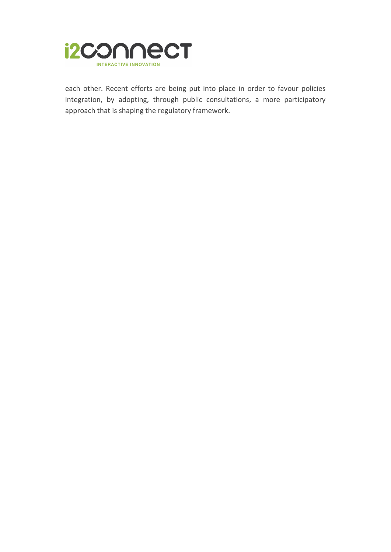

each other. Recent efforts are being put into place in order to favour policies integration, by adopting, through public consultations, a more participatory approach that is shaping the regulatory framework.